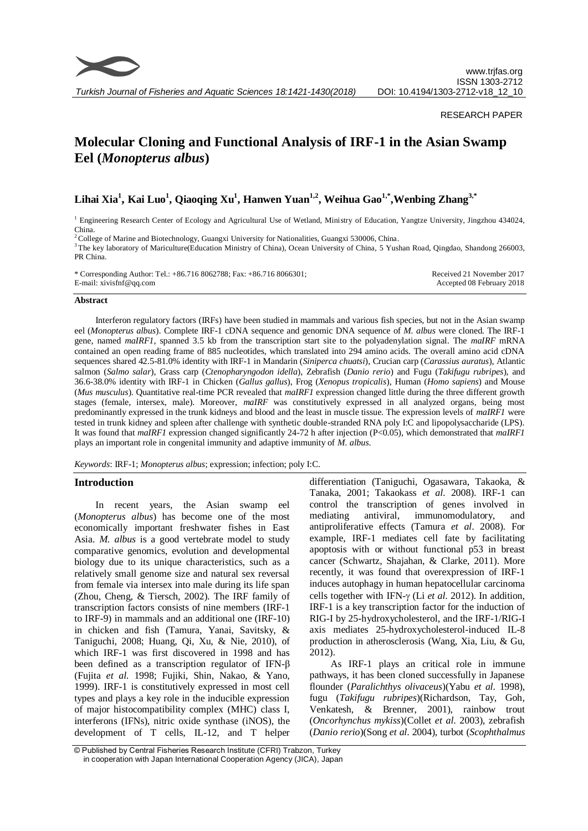

## RESEARCH PAPER

# **Molecular Cloning and Functional Analysis of IRF-1 in the Asian Swamp Eel (***Monopterus albus***)**

**Lihai Xia<sup>1</sup> , Kai Luo<sup>1</sup> , Qiaoqing Xu<sup>1</sup> , Hanwen Yuan1,2 , Weihua Gao1,\* ,Wenbing Zhang3,\***

<sup>1</sup> Engineering Research Center of Ecology and Agricultural Use of Wetland, Ministry of Education, Yangtze University, Jingzhou 434024, China.

<sup>2</sup>College of Marine and Biotechnology, Guangxi University for Nationalities, Guangxi 530006, China.

<sup>3</sup>The key laboratory of Mariculture(Education Ministry of China), Ocean University of China, 5 Yushan Road, Qingdao, Shandong 266003, PR China.

\* Corresponding Author: Tel.: +86.716 8062788; Fax: +86.716 8066301; E-mail: xivisfnf@qq.com Received 21 November 2017 Accepted 08 February 2018

#### **Abstract**

Interferon regulatory factors (IRFs) have been studied in mammals and various fish species, but not in the Asian swamp eel (*Monopterus albus*). Complete IRF-1 cDNA sequence and genomic DNA sequence of *M. albus* were cloned. The IRF-1 gene, named *maIRF1*, spanned 3.5 kb from the transcription start site to the polyadenylation signal. The *maIRF* mRNA contained an open reading frame of 885 nucleotides, which translated into 294 amino acids. The overall amino acid cDNA sequences shared 42.5-81.0% identity with IRF-1 in Mandarin (*Siniperca chuatsi*), Crucian carp (*Carassius auratus*), Atlantic salmon (*Salmo salar*), Grass carp (*Ctenopharyngodon idella*), Zebrafish (*Danio rerio*) and Fugu (*Takifugu rubripes*), and 36.6-38.0% identity with IRF-1 in Chicken (*Gallus gallus*), Frog (*Xenopus tropicalis*), Human (*Homo sapiens*) and Mouse (*Mus musculus*). Quantitative real-time PCR revealed that *maIRF1* expression changed little during the three different growth stages (female, intersex, male). Moreover, *maIRF* was constitutively expressed in all analyzed organs, being most predominantly expressed in the trunk kidneys and blood and the least in muscle tissue. The expression levels of *maIRF1* were tested in trunk kidney and spleen after challenge with synthetic double-stranded RNA poly I:C and lipopolysaccharide (LPS). It was found that *maIRF1* expression changed significantly 24-72 h after injection (P<0.05), which demonstrated that *maIRF1* plays an important role in congenital immunity and adaptive immunity of *M. albus*.

*Keywords*: IRF-1; *Monopterus albus*; expression; infection; poly I:C.

## **Introduction**

In recent years, the Asian swamp eel (*Monopterus albus*) has become one of the most economically important freshwater fishes in East Asia. *M. albus* is a good vertebrate model to study comparative genomics, evolution and developmental biology due to its unique characteristics, such as a relatively small genome size and natural sex reversal from female via intersex into male during its life span (Zhou, Cheng, & Tiersch, 2002). The IRF family of transcription factors consists of nine members (IRF-1 to IRF-9) in mammals and an additional one (IRF-10) in chicken and fish (Tamura, Yanai, Savitsky, & Taniguchi, 2008; Huang, Qi, Xu, & Nie, 2010), of which IRF-1 was first discovered in 1998 and has been defined as a transcription regulator of IFN-β (Fujita *et al*. 1998; Fujiki, Shin, Nakao, & Yano, 1999). IRF-1 is constitutively expressed in most cell types and plays a key role in the inducible expression of major histocompatibility complex (MHC) class I, interferons (IFNs), nitric oxide synthase (iNOS), the development of T cells, IL-12, and T helper

differentiation (Taniguchi, Ogasawara, Takaoka, & Tanaka, 2001; Takaokass *et al*. 2008). IRF-1 can control the transcription of genes involved in mediating antiviral, immunomodulatory, and antiproliferative effects (Tamura *et al*. 2008). For example, IRF-1 mediates cell fate by facilitating apoptosis with or without functional p53 in breast cancer [\(Schwartz,](http://www.hindawi.com/98101835/) Shajahan, & Clarke, 2011). More recently, it was found that overexpression of IRF-1 induces autophagy in human hepatocellular carcinoma cells together with IFN-γ (Li *et al.* 2012). In addition, IRF-1 is a key transcription factor for the induction of RIG-I by 25-hydroxycholesterol, and the IRF-1/RIG-I axis mediates 25-hydroxycholesterol-induced IL-8 production in atherosclerosis (Wang, Xia, Liu, & Gu, 2012).

As IRF-1 plays an critical role in immune pathways, it has been cloned successfully in Japanese flounder (*Paralichthys olivaceus*)(Yabu *et al*. 1998), fugu (*Takifugu rubripes*)(Richardson, Tay, Goh, Venkatesh, & Brenner, 2001), rainbow trout (*Oncorhynchus mykiss*)(Collet *et al*. 2003), zebrafish (*Danio rerio*)(Song *et al*. 2004), turbot (*Scophthalmus* 

<sup>©</sup> Published by Central Fisheries Research Institute (CFRI) Trabzon, Turkey in cooperation with Japan International Cooperation Agency (JICA), Japan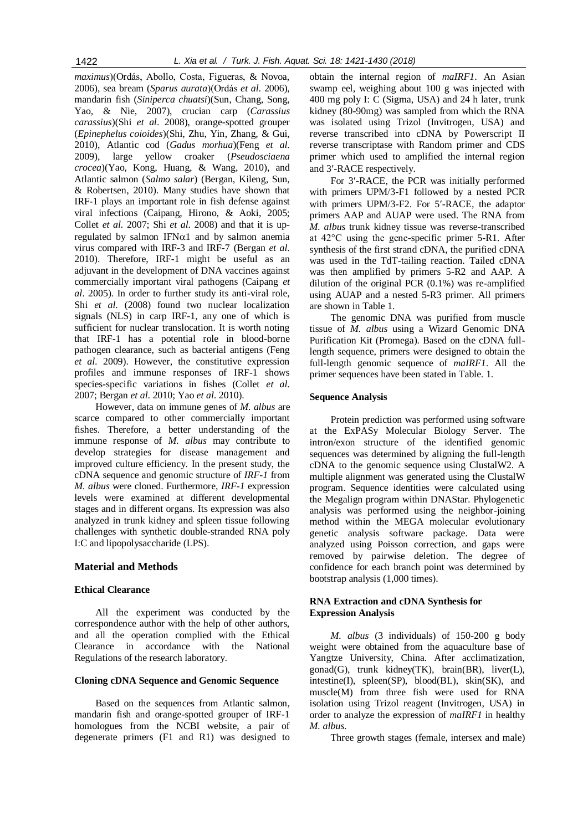*maximus*)(Ordás, Abollo, Costa, Figueras, & Novoa, 2006), sea bream (*Sparus aurata*)(Ordás *et al*. 2006), mandarin fish (*Siniperca chuatsi*)(Sun, Chang, Song, Yao, & Nie, 2007), crucian carp (*Carassius carassius*)(Shi *et al*. 2008), orange-spotted grouper (*Epinephelus coioides*)(Shi, Zhu, Yin, Zhang, & Gui, 2010), Atlantic cod (*Gadus morhua*)(Feng *et al*. 2009), large yellow croaker (*Pseudosciaena crocea*)(Yao, Kong, Huang, & Wang, 2010), and Atlantic salmon (*Salmo salar*) (Bergan, Kileng, Sun, & Robertsen, 2010). Many studies have shown that IRF-1 plays an important role in fish defense against viral infections (Caipang, Hirono, & Aoki, 2005; Collet *et al*. 2007; Shi *et al*. 2008) and that it is upregulated by salmon IFN $\alpha$ 1 and by salmon anemia virus compared with IRF-3 and IRF-7 (Bergan *et al*. 2010). Therefore, IRF-1 might be useful as an adjuvant in the development of DNA vaccines against commercially important viral pathogens (Caipang *et al*. 2005). In order to further study its anti-viral role, Shi *et al*. (2008) found two nuclear localization signals (NLS) in carp IRF-1, any one of which is sufficient for nuclear translocation. It is worth noting that IRF-1 has a potential role in blood-borne pathogen clearance, such as bacterial antigens (Feng *et al*. 2009). However, the constitutive expression profiles and immune responses of IRF-1 shows species-specific variations in fishes (Collet *et al*. 2007; Bergan *et al*. 2010; Yao *et al*. 2010).

However, data on immune genes of *M. albus* are scarce compared to other commercially important fishes. Therefore, a better understanding of the immune response of *M. albus* may contribute to develop strategies for disease management and improved culture efficiency. In the present study, the cDNA sequence and genomic structure of *IRF-1* from *M. albus* were cloned. Furthermore, *IRF-1* expression levels were examined at different developmental stages and in different organs. Its expression was also analyzed in trunk kidney and spleen tissue following challenges with synthetic double-stranded RNA poly I:C and lipopolysaccharide (LPS).

## **Material and Methods**

## **Ethical Clearance**

All the experiment was conducted by the correspondence author with the help of other authors, and all the operation complied with the Ethical Clearance in accordance with the National Regulations of the research laboratory.

## **Cloning cDNA Sequence and Genomic Sequence**

Based on the sequences from Atlantic salmon, mandarin fish and orange-spotted grouper of IRF-1 homologues from the NCBI website, a pair of degenerate primers (F1 and R1) was designed to

obtain the internal region of *maIRF1*. An Asian swamp eel, weighing about 100 g was injected with 400 mg poly I: C (Sigma, USA) and 24 h later, trunk kidney (80-90mg) was sampled from which the RNA was isolated using Trizol (Invitrogen, USA) and reverse transcribed into cDNA by Powerscript II reverse transcriptase with Random primer and CDS primer which used to amplified the internal region and 3-RACE respectively.

For 3'-RACE, the PCR was initially performed with primers UPM/3-F1 followed by a nested PCR with primers UPM/3-F2. For 5'-RACE, the adaptor primers AAP and AUAP were used. The RNA from *M. albus* trunk kidney tissue was reverse-transcribed at 42°C using the gene-specific primer 5-R1. After synthesis of the first strand cDNA, the purified cDNA was used in the TdT-tailing reaction. Tailed cDNA was then amplified by primers 5-R2 and AAP. A dilution of the original PCR (0.1%) was re-amplified using AUAP and a nested 5-R3 primer. All primers are shown in Table 1.

The genomic DNA was purified from muscle tissue of *M. albus* using a Wizard Genomic DNA Purification Kit (Promega). Based on the cDNA fulllength sequence, primers were designed to obtain the full-length genomic sequence of *maIRF1*. All the primer sequences have been stated in Table. 1.

## **Sequence Analysis**

Protein prediction was performed using software at the ExPASy Molecular Biology Server. The intron/exon structure of the identified genomic sequences was determined by aligning the full-length cDNA to the genomic sequence using ClustalW2. A multiple alignment was generated using the ClustalW program. Sequence identities were calculated using the Megalign program within DNAStar. Phylogenetic analysis was performed using the neighbor-joining method within the MEGA molecular evolutionary genetic analysis software package. Data were analyzed using Poisson correction, and gaps were removed by pairwise deletion. The degree of confidence for each branch point was determined by bootstrap analysis (1,000 times).

## **RNA Extraction and cDNA Synthesis for Expression Analysis**

*M. albus* (3 individuals) of 150-200 g body weight were obtained from the aquaculture base of Yangtze University, China. After acclimatization, gonad(G), trunk kidney(TK), brain(BR), liver(L), intestine(I), spleen(SP), blood(BL), skin(SK), and muscle(M) from three fish were used for RNA isolation using Trizol reagent (Invitrogen, USA) in order to analyze the expression of *maIRF1* in healthy *M. albus*.

Three growth stages (female, intersex and male)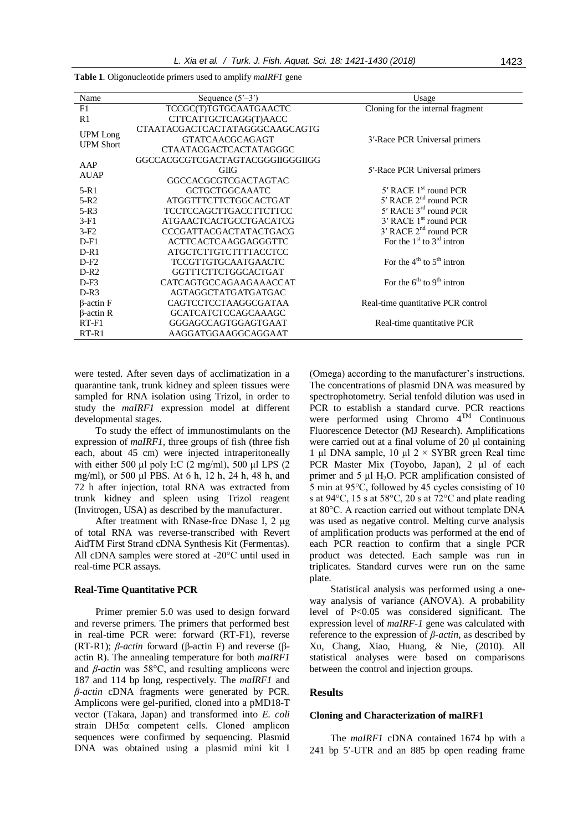| Name             | Sequence $(5'–3')$               | Usage                               |
|------------------|----------------------------------|-------------------------------------|
| F1               | TCCGC(T)TGTGCAATGAACTC           | Cloning for the internal fragment   |
| R1               | CTTCATTGCTCAGG(T)AACC            |                                     |
| <b>UPM</b> Long  | CTAATACGACTCACTATAGGGCAAGCAGTG   |                                     |
| <b>UPM Short</b> | <b>GTATCAACGCAGAGT</b>           | 3'-Race PCR Universal primers       |
|                  | CTAATACGACTCACTATAGGGC           |                                     |
| AAP              | GGCCACGCGTCGACTAGTACGGGIIGGGIIGG |                                     |
|                  | <b>GIIG</b>                      | 5'-Race PCR Universal primers       |
| <b>AUAP</b>      | GGCCACGCGTCGACTAGTAC             |                                     |
| $5-R1$           | <b>GCTGCTGGCAAATC</b>            | $5'$ RACE $1st$ round PCR           |
| $5-R2$           | ATGGTTTCTTCTGGCACTGAT            | $5'$ RACE $2nd$ round PCR           |
| $5-R3$           | <b>TCCTCCAGCTTGACCTTCTTCC</b>    | $5'$ RACE $3rd$ round PCR           |
| $3-F1$           | <b>ATGAACTCACTGCCTGACATCG</b>    | 3' RACE 1 <sup>st</sup> round PCR   |
| $3-F2$           | <b>CCCGATTACGACTATACTGACG</b>    | $3'$ RACE $2nd$ round PCR           |
| $D-F1$           | <b>ACTTCACTCAAGGAGGGTTC</b>      | For the $1st$ to $3rd$ intron       |
| $D-R1$           | <b>ATGCTCTTGTCTTTTACCTCC</b>     |                                     |
| $D-F2$           | <b>TCCGTTGTGCAATGAACTC</b>       | For the $4^{th}$ to $5^{th}$ intron |
| $D-R2$           | <b>GGTTTCTTCTGGCACTGAT</b>       |                                     |
| $D-F3$           | CATCAGTGCCAGAAGAAACCAT           | For the $6^{th}$ to $9^{th}$ intron |
| $D-R3$           | <b>AGTAGGCTATGATGATGAC</b>       |                                     |
| $\beta$ -actin F | <b>CAGTCCTCCTAAGGCGATAA</b>      | Real-time quantitative PCR control  |
| $\beta$ -actin R | <b>GCATCATCTCCAGCAAAGC</b>       |                                     |
| $RT-F1$          | GGGAGCCAGTGGAGTGAAT              | Real-time quantitative PCR          |
| $RT-R1$          | AAGGATGGAAGGCAGGAAT              |                                     |

**Table 1**. Oligonucleotide primers used to amplify *maIRF1* gene

were tested. After seven days of acclimatization in a quarantine tank, trunk kidney and spleen tissues were sampled for RNA isolation using Trizol, in order to study the *maIRF1* expression model at different developmental stages.

To study the effect of immunostimulants on the expression of *maIRF1*, three groups of fish (three fish each, about 45 cm) were injected intraperitoneally with either 500 μl poly I:C  $(2 \text{ mg/ml})$ , 500 μl LPS  $(2 \text{ mg/ml})$ mg/ml), or 500 μl PBS. At 6 h, 12 h, 24 h, 48 h, and 72 h after injection, total RNA was extracted from trunk kidney and spleen using Trizol reagent (Invitrogen, USA) as described by the manufacturer.

After treatment with RNase-free DNase I, 2 μg of total RNA was reverse-transcribed with Revert AidTM First Strand cDNA Synthesis Kit (Fermentas). All cDNA samples were stored at -20°C until used in real-time PCR assays.

#### **Real-Time Quantitative PCR**

Primer premier 5.0 was used to design forward and reverse primers. The primers that performed best in real-time PCR were: forward (RT-F1), reverse (RT-R1); *β-actin* forward (β-actin F) and reverse (βactin R). The annealing temperature for both *maIRF1* and *β-actin* was 58°C, and resulting amplicons were 187 and 114 bp long, respectively. The *maIRF1* and *β-actin* cDNA fragments were generated by PCR. Amplicons were gel-purified, cloned into a pMD18-T vector (Takara, Japan) and transformed into *E. coli* strain DH5α competent cells. Cloned amplicon sequences were confirmed by sequencing. Plasmid DNA was obtained using a plasmid mini kit I (Omega) according to the manufacturer's instructions. The concentrations of plasmid DNA was measured by spectrophotometry. Serial tenfold dilution was used in PCR to establish a standard curve. PCR reactions were performed using Chromo 4TM Continuous Fluorescence Detector (MJ Research). Amplifications were carried out at a final volume of 20 µl containing 1 µl DNA sample, 10 µl  $2 \times$  SYBR green Real time PCR Master Mix (Toyobo, Japan), 2 µl of each primer and  $5 \mu$ l H<sub>2</sub>O. PCR amplification consisted of 5 min at 95°C, followed by 45 cycles consisting of 10 s at 94°C, 15 s at 58°C, 20 s at 72°C and plate reading at 80°C. A reaction carried out without template DNA was used as negative control. Melting curve analysis of amplification products was performed at the end of each PCR reaction to confirm that a single PCR product was detected. Each sample was run in triplicates. Standard curves were run on the same plate.

Statistical analysis was performed using a oneway analysis of variance (ANOVA). A probability level of P<0.05 was considered significant. The expression level of *maIRF-1* gene was calculated with reference to the expression of *β-actin*, as described by Xu, Chang, Xiao, Huang, & Nie, (2010). All statistical analyses were based on comparisons between the control and injection groups.

## **Results**

#### **Cloning and Characterization of maIRF1**

The *maIRF1* cDNA contained 1674 bp with a 241 bp 5-UTR and an 885 bp open reading frame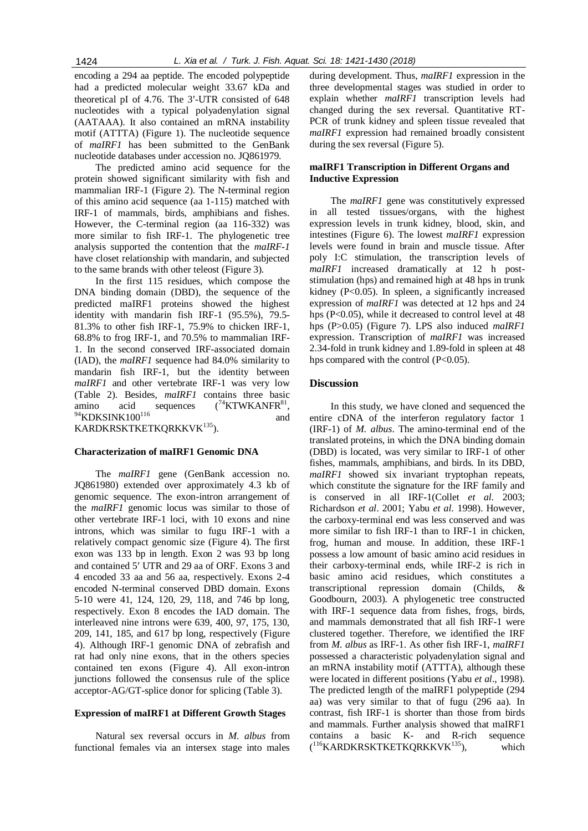encoding a 294 aa peptide. The encoded polypeptide had a predicted molecular weight 33.67 kDa and theoretical pI of 4.76. The 3-UTR consisted of 648 nucleotides with a typical polyadenylation signal (AATAAA). It also contained an mRNA instability motif (ATTTA) (Figure 1). The nucleotide sequence of *maIRF1* has been submitted to the GenBank nucleotide databases under accession no. JQ861979.

The predicted amino acid sequence for the protein showed significant similarity with fish and mammalian IRF-1 (Figure 2). The N-terminal region of this amino acid sequence (aa 1-115) matched with IRF-1 of mammals, birds, amphibians and fishes. However, the C-terminal region (aa 116-332) was more similar to fish IRF-1. The phylogenetic tree analysis supported the contention that the *maIRF-1* have closet relationship with mandarin, and subjected to the same brands with other teleost (Figure 3).

In the first 115 residues, which compose the DNA binding domain (DBD), the sequence of the predicted maIRF1 proteins showed the highest identity with mandarin fish IRF-1 (95.5%), 79.5- 81.3% to other fish IRF-1, 75.9% to chicken IRF-1, 68.8% to frog IRF-1, and 70.5% to mammalian IRF-1. In the second conserved IRF-associated domain (IAD), the *maIRF1* sequence had 84.0% similarity to mandarin fish IRF-1, but the identity between *maIRF1* and other vertebrate IRF-1 was very low (Table 2). Besides, *maIRF1* contains three basic amino acid sequences  $(^{74}$ KTWKANFR $^{81}$ ,  $^{94}$ KDKSINK100<sup>116</sup> and

KARDKRSKTKETKQRKKVK<sup>135</sup>).

## **Characterization of maIRF1 Genomic DNA**

The *maIRF1* gene (GenBank accession no. JQ861980) extended over approximately 4.3 kb of genomic sequence. The exon-intron arrangement of the *maIRF1* genomic locus was similar to those of other vertebrate IRF-1 loci, with 10 exons and nine introns, which was similar to fugu IRF-1 with a relatively compact genomic size (Figure 4). The first exon was 133 bp in length. Exon 2 was 93 bp long and contained 5' UTR and 29 aa of ORF. Exons 3 and 4 encoded 33 aa and 56 aa, respectively. Exons 2-4 encoded N-terminal conserved DBD domain. Exons 5-10 were 41, 124, 120, 29, 118, and 746 bp long, respectively. Exon 8 encodes the IAD domain. The interleaved nine introns were 639, 400, 97, 175, 130, 209, 141, 185, and 617 bp long, respectively (Figure 4). Although IRF-1 genomic DNA of zebrafish and rat had only nine exons, that in the others species contained ten exons (Figure 4). All exon-intron junctions followed the consensus rule of the splice acceptor-AG/GT-splice donor for splicing (Table 3).

#### **Expression of maIRF1 at Different Growth Stages**

Natural sex reversal occurs in *M. albus* from functional females via an intersex stage into males

during development. Thus, *maIRF1* expression in the three developmental stages was studied in order to explain whether *maIRF1* transcription levels had changed during the sex reversal. Quantitative RT-PCR of trunk kidney and spleen tissue revealed that *maIRF1* expression had remained broadly consistent during the sex reversal (Figure 5).

# **maIRF1 Transcription in Different Organs and Inductive Expression**

The *maIRF1* gene was constitutively expressed in all tested tissues/organs, with the highest expression levels in trunk kidney, blood, skin, and intestines (Figure 6). The lowest *maIRF1* expression levels were found in brain and muscle tissue. After poly I:C stimulation, the transcription levels of *maIRF1* increased dramatically at 12 h poststimulation (hps) and remained high at 48 hps in trunk kidney (P<0.05). In spleen, a significantly increased expression of *maIRF1* was detected at 12 hps and 24 hps (P<0.05), while it decreased to control level at 48 hps (P>0.05) (Figure 7). LPS also induced *maIRF1* expression. Transcription of *maIRF1* was increased 2.34-fold in trunk kidney and 1.89-fold in spleen at 48 hps compared with the control (P<0.05).

# **Discussion**

In this study, we have cloned and sequenced the entire cDNA of the interferon regulatory factor 1 (IRF-1) of *M. albus*. The amino-terminal end of the translated proteins, in which the DNA binding domain (DBD) is located, was very similar to IRF-1 of other fishes, mammals, amphibians, and birds. In its DBD, *maIRF1* showed six invariant tryptophan repeats, which constitute the signature for the IRF family and is conserved in all IRF-1(Collet *et al*. 2003; Richardson *et al*. 2001; Yabu *et al*. 1998). However, the carboxy-terminal end was less conserved and was more similar to fish IRF-1 than to IRF-1 in chicken, frog, human and mouse. In addition, these IRF-1 possess a low amount of basic amino acid residues in their carboxy-terminal ends, while IRF-2 is rich in basic amino acid residues, which constitutes a transcriptional repression domain (Childs, & Goodbourn, 2003). A phylogenetic tree constructed with IRF-1 sequence data from fishes, frogs, birds, and mammals demonstrated that all fish IRF-1 were clustered together. Therefore, we identified the IRF from *M. albus* as IRF-1. As other fish IRF-1, *maIRF1* possessed a characteristic polyadenylation signal and an mRNA instability motif (ATTTA), although these were located in different positions (Yabu *et al*., 1998). The predicted length of the maIRF1 polypeptide (294 aa) was very similar to that of fugu (296 aa). In contrast, fish IRF-1 is shorter than those from birds and mammals. Further analysis showed that maIRF1 contains a basic K- and R-rich sequence (<sup>116</sup>KARDKRSKTKETKQRKKVK<sup>135</sup>), which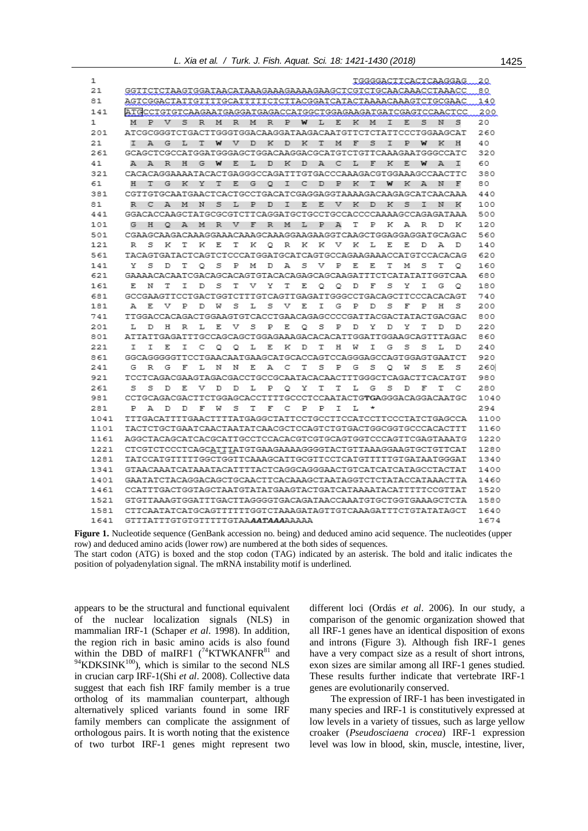| 1    | TGGGGACTTCACTCAAGGAG                                                                                      | 20   |
|------|-----------------------------------------------------------------------------------------------------------|------|
| 21   | GGTTCTCTAAGTGGATAACATAAAGAAAGAAAAGAAGCTCGTCTGCAACAAACCTAAACC                                              | 80   |
| 81   | AGTCGGACTATTGTTTTGCATTTTTCTCTTACGGATCATACTAAAACAAAGTCTGCGAAC                                              | 140  |
| 141  | ATGCCTGTGTCAAGAATGAGGATGAGACCATGGCTGGAGAAGATGATCGAGTCCAACTCC                                              | 200  |
| 1    | Ρ<br>v<br>s<br>м<br>Ρ<br>s<br>s<br>м<br>R<br>м<br>R<br>R<br>w<br>L<br>Ε<br>ĸ<br>м<br>I<br>Е<br>N          | 20   |
| 201  | ATCGCGGGTCTGACTTGGGTGGACAAGGATAAGACAATGTTCTCTATTCCCTGGAAGCAT                                              | 260  |
| 21   | s<br>А<br>G<br>т<br>w<br>v<br>D<br>ĸ<br>к<br>т<br>м<br>F<br>Р<br>w<br>ĸ<br>Н<br>т<br>L<br>D<br>Ι          | 40   |
| 261  | GCAGCTCGCCATGGATGGGAGCTGGACAAGGACGCATGTCTGTTCAAAGAATGGGCCATC                                              | 320  |
| 41   | A<br>A<br>R<br>н<br>G<br>W<br>Ε<br>L<br>D<br>к<br>D<br>А<br>с<br>L<br>F<br>к<br>Ε<br>w<br>А<br>I          | 60   |
| 321  | CACACAGGAAAATACACTGAGGGCCAGATTTGTGACCCAAAGACGTGGAAAGCCAACTTC                                              | 380  |
| 61   | G<br>к<br>Υ<br>Ε<br>₽<br>к<br>н<br>т<br>т<br>G<br>o<br>I<br>с<br>D<br>т<br>w<br>к<br>А<br>N<br>E          | 80   |
| 381  | CGTTGTGCAATGAACTCACTGCCTGACATCGAGGAGGTAAAAGACAAGAGCATCAACAAA                                              | 440  |
| 81   | s<br>Р<br>T<br>E<br>Е<br>v<br>к<br>к<br>s<br>R<br>c<br>А<br>м<br>N<br>L<br>D<br>D<br>Ι<br>N<br>к          | 100  |
| 441  | GGACACCAAGCTATGCGCGTCTTCAGGATGCTGCCTGCCACCCCAAAAGCCAGAGATAAA                                              | 500  |
| 101  | G<br>н<br>$^{\circ}$<br>А<br>м<br>R<br>v<br>F<br>R<br>м<br>Ρ<br>А<br>т<br>Р<br>к<br>А<br>R<br>к<br>L<br>D | 120  |
| 501  | CGAAGCAAGACAAAGGAAACAAAGCAAAGGAAGAAGGTCAAGCTGGAGGAGGATGCAGAC                                              | 560  |
| 121  | R<br>s<br>к<br>т<br>K<br>Ε<br>т<br>к<br>o<br>R<br>ĸ<br>K<br>v<br>ĸ<br>L<br>Ε<br>Е<br>D<br>А<br>D          | 140  |
| 561  | TACAGTGATACTCAGTCTCCCATGGATGCATCAGTGCCAGAAGAAACCATGTCCACACAG                                              | 620  |
| 141  | Y<br>s<br>Ρ<br>А<br>s<br>v<br>Р<br>т<br>s<br>s<br>D<br>т<br>Ο<br>м<br>D<br>Е<br>Ε<br>м<br>т<br>o          | 160  |
| 621  | GAAAACACAATCGACAGCACAGTGTACACAGAGCAGCAAGATTTCTCATATATTGGTCAA                                              | 680  |
| 161  | Е<br>Т<br>s<br>т<br>v<br>Υ<br>Τ<br>Ε<br>D<br>F<br>s<br>Y<br>T<br>G<br>N<br>т<br>D<br>o<br>o<br>o          | 180  |
| 681  | GCCGAAGTTCCTGACTGGTCTTTGTCAGTTGAGATTGGGCCTGACAGCTTCCCACACAGT                                              | 740  |
| 181  | s<br>s<br>s<br>s<br>А<br>Ε<br>v<br>Р<br>L<br>v<br>Ε<br>Ι<br>G<br>Ρ<br>F<br>Р<br>н<br>D<br>w<br>D          | 200  |
| 741  | TTGGACCACAGACTGGAAGTGTCACCTGAACAGAGCCCCGATTACGACTATACTGACGAC                                              | 800  |
| 201  | н<br>R<br>L<br>Ε<br>v<br>s<br>Ρ<br>Ε<br>s<br>Ρ<br>D<br>Υ<br>Y<br>Т<br>т.<br>D<br>Q<br>D<br>D<br>D         | 220  |
| 801  | ATTATTGAGATTTGCCAGCAGCTGGAGAAAGACACACATTGGATTGGAAGCAGTTTAGAC                                              | 860  |
| 221  | с<br>н<br>Ι<br>G<br>s<br>s<br>I<br>Ι<br>Ε<br>Ι<br>o<br>o<br>L<br>Ε<br>к<br>D<br>т<br>w<br>L<br>D          | 240  |
| 861  | GGCAGGGGGTTCCTGAACAATGAAGCATGCACCAGTCCAGGGAGCCAGTGGAGTGAATCT                                              | 920  |
| 241  | G<br>R<br>G<br>F<br>L<br>N<br>N<br>Ε<br>А<br>с<br>т<br>s<br>Р<br>G<br>s<br>o<br>s<br>E.<br>s<br>w         | 260  |
| 921  | TCCTCAGACGAAGTAGACGACCTGCCGCAATACACAACTTTGGGCTCAGACTTCACATGT                                              | 980  |
| 261  | Т<br>с<br>s<br>s<br>D<br>Е<br>v<br>D<br>D<br>L<br>Ρ<br>o<br>Y<br>т<br>т<br>L<br>G<br>s<br>D<br>F          | 280  |
| 981  | CCTGCAGACGACTTCTGGAGCACCTTTTGCCCTCCAATACTGTGAGGGACAGGACAATGC                                              | 1040 |
| 281  | F<br>s<br>Т<br>F<br>с<br>Р<br>Ρ<br>I<br>L<br>Р<br>А<br>D<br>D<br>W                                        | 294  |
| 1041 | TTTGACATTTTGAACTTTTATGAGGCTATTCCTGCCTTCCATCCTTCCCTATCTGAGCCA                                              | 1100 |
| 1101 | TACTCTGCTGAATCAACTAATATCAACGCTCCAGTCTGTGACTGGCGGTGCCCACACTTT                                              | 1160 |
| 1161 | AGGCTACAGCATCACGCATTGCCTCCACACGTCGTGCAGTGGTCCCAGTTCGAGTAAATG                                              | 1220 |
| 1221 | CTCGTCTCCCTCAGCATTTATGTGAAGAAAAGGGGTACTGTTAAAGGAAGTGCTGTTCAT                                              | 1280 |
| 1281 | TATCCATGTTTTTGGCTGGTTCAAAGCATTGCGTTCCTCATGTTTTTGTGATAATGGGAT                                              | 1340 |
| 1341 | GTAACAAATCATAAATACATTTTACTCAGGCAGGGAACTGTCATCATCATAGCCTACTAT                                              | 1400 |
| 1401 | GAATATCTACAGGACAGCTGCAACTTCACAAAGCTAATAGGTCTCTATACCATAAACTTA                                              | 1460 |
| 1461 | CCATTTGACTGGTAGCTAATGTATATGAAGTACTGATCATAAAATACATTTTTCCGTTAT                                              | 1520 |
| 1521 | GTGTTAAAGTGGATTTGACTTAGGGGTGACAGATAACCAAATGTGCTGGTGAAAGCTCTA                                              | 1580 |
| 1581 | CTTCAATATCATGCAGTTTTTTGGTCTAAAGATAGTTGTCAAAGATTTCTGTATATAGCT                                              | 1640 |
| 1641 | GTTTATTTGTGTGTTTTTGTAAAATAAAAAAAA                                                                         | 1674 |

**Figure 1.** Nucleotide sequence (GenBank accession no. being) and deduced amino acid sequence. The nucleotides (upper row) and deduced amino acids (lower row) are numbered at the both sides of sequences. The start codon (ATG) is boxed and the stop codon (TAG) indicated by an asterisk. The bold and italic indicates the position of polyadenylation signal. The mRNA instability motif is underlined.

appears to be the structural and functional equivalent of the nuclear localization signals (NLS) in mammalian IRF-1 (Schaper *et al*. 1998). In addition, the region rich in basic amino acids is also found within the DBD of maIRF1  $(^{74}$ KTWKANFR $^{81}$  and  $^{94}$ KDKSINK<sup>100</sup>), which is similar to the second NLS in crucian carp IRF-1(Shi *et al*. 2008). Collective data suggest that each fish IRF family member is a true ortholog of its mammalian counterpart, although alternatively spliced variants found in some IRF family members can complicate the assignment of orthologous pairs. It is worth noting that the existence of two turbot IRF-1 genes might represent two

different loci (Ordás *et al*. 2006). In our study, a comparison of the genomic organization showed that all IRF-1 genes have an identical disposition of exons and introns (Figure 3). Although fish IRF-1 genes have a very compact size as a result of short introns, exon sizes are similar among all IRF-1 genes studied. These results further indicate that vertebrate IRF-1 genes are evolutionarily conserved.

The expression of IRF-1 has been investigated in many species and IRF-1 is constitutively expressed at low levels in a variety of tissues, such as large yellow croaker (*Pseudosciaena crocea*) IRF-1 expression level was low in blood, skin, muscle, intestine, liver,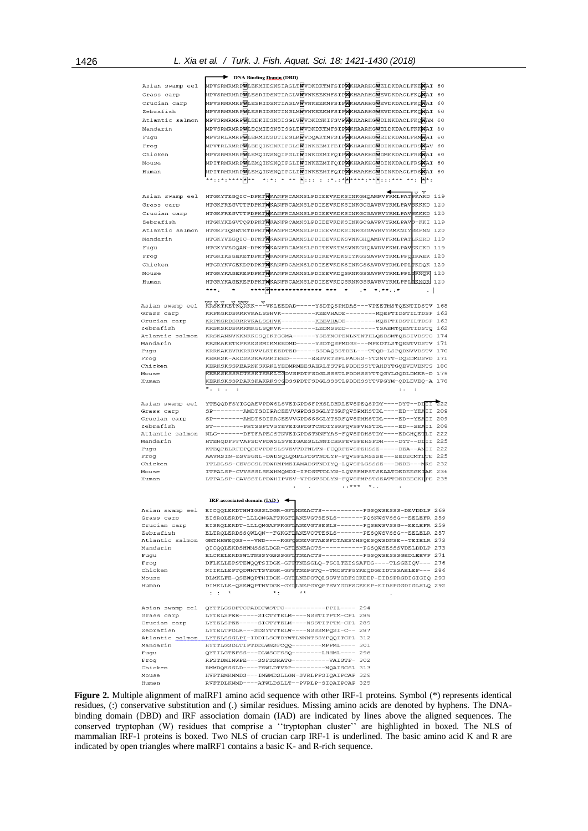|                  | DNA Binding Domin (DBD)                                                                                         |     |
|------------------|-----------------------------------------------------------------------------------------------------------------|-----|
| Asian swamp eel  | MPVSRMRMRPWLEKMIESNSIAGLTWVDKDKTMFSIPWKHAARHGWELDKDACLFKEWAI 60                                                 |     |
| Grass carp       | MPVSRMRMRPWLESRIDSNTIAGLVWVNKEEKMFSIPWKHAARHGWEVDKDACLFKOWAI 60                                                 |     |
| Crucian carp     | MPVSRMRMRPWLESRIDSNTIAGLVWVNKEEKMFSIPWKHAARHGWEVDKDACLFKQWAI 60                                                 |     |
|                  |                                                                                                                 |     |
| Zebrafish        | MPVSRMRMRPWLESRIDSNTINGLMWVNKEEKMFSIPWKHAARHGWEVDKDACLFKQWAI 60                                                 |     |
| Atlantic salmon  | MPVSRMRMRPWLEEKIESNSISGLVWVDKDNKIFSVPWKHAARHGWDLNKDACLFKQWAM 60                                                 |     |
| Mandarin         | MPVSRMRMRPWLEQMIESNSISGLTWVDKDKTMFSIPWKHAARHGWELDKDACLFKKWAI 60                                                 |     |
| Fugu             | MPVSRLRMRPWLERMINSDTIEGLKWVDQAKTMFSIPWKHAARHGWEIEKDANLFRMWAI 60                                                 |     |
| Frog             | MPVTRLRMRPWLEEQINSNKIPGLSWINKEEMIFEIPWKHAARHGWDINKDACLFRSWAV 60                                                 |     |
|                  |                                                                                                                 |     |
| Chicken          | MPVSRMRMRPWLEMQINSNQIPGLIWINKDKMIFQIPWKHAAKHGWDMEKDACLFRSWAI 60                                                 |     |
| Mouse            | MPITRMRMRPWLEMQINSNQIPGLIWINKEEMIFQIPWKHAAKHGWDINKDACLFRSWAI 60                                                 |     |
| Human            | MPITRMRMRPWLEMQINSNQIPGLIWINKEEMIFQIPWKHAAKHGWDINKDACLFRSWAI 60                                                 |     |
|                  | W ::: : :*.:* W ****:** W :::*** **:  W *:<br>** : : * : **** <b>*</b> **<br>$\star$ $\star$<br>$*$ $\cdot$ $*$ |     |
|                  |                                                                                                                 |     |
| Asian swamp eel  | HTGKYTEGQIC-DPKTMKANFRCAMNSLPDIEEVKDKSINKGHQAMRVFRMLPATPKARD 119                                                |     |
|                  |                                                                                                                 |     |
| Grass carp       | HTGKFREGVTTPDPKTWKANFRCAMNSLPDIEEVKDKSINKGCGAVRVYRMLPAVBKKKD 120                                                |     |
| Crucian carp     | HTGKFREGVTTPDPKTWKANFRCAMNSLPDIEEVKDKSINKGCGAVRVYRMLPAVBKKKD 120                                                |     |
| Zebrafish        | HTGKYKEGVTQPDPKTWKANFRCAMNSLPDIEEVKDKSINKGCGAVRVYRMLPAVB-KKI 119                                                |     |
| Atlantic salmon  | HTGKFIQGETKTDPKTWKANFRCAMNSLPDIEEVKDKSINRGSGAVRVYKMKNIYSKPNN 120                                                |     |
| Mandarin         | HTGKYVEGQIC-DPKTWKANFRCAMNSLPDIEEVKDKSVNKGHQAMRVFRMLPATLKSRD 119                                                |     |
| Fugu             | HTGKYVEGQAN-DPKTWKANFRCAMNSLPDITEVKTMSVNKGHQAVRVFKMLPAVBKCKD 119                                                |     |
|                  |                                                                                                                 |     |
| Froq             | HTGRIKSGEKETDPKTWKANFRCAMNSLPDIKEVKDKSIYKGSSAVRVYKMLPPQIKAEK 120                                                |     |
| Chicken          | HTGRYKVGEKDPDPKTWKANFRCAMNSLPDIEEVKDKSINKGSSAVRVYRMLPPLTKDOK 120                                                |     |
| Mouse            | HTGRYKAGEKEPDPKTWKANFRCAMNSLPDIEEVKDOSRNKGSSAVRVYRMLPPLIRNOR 120                                                |     |
| Human            | HTGRYKAGEKEPDPKTWKANFRCAMNSLPDIEEVKDQSRNKGSSAVRVYRMLPPLIKNOR 120                                                |     |
|                  | **** <b>*</b> ************* ***<br>*** *<br>$\star$<br>$\cdot$ *<br>* - * * - - *                               |     |
|                  |                                                                                                                 |     |
| Asian swamp eel  | KRSKTKETKORKK---VKLEEDAD-----YSDTQSPMDAS---VPEETMSTQENTIDSTV 168                                                |     |
| Grass carp       | KRPKGRDSRRRVKALSSHVK---------KEEVHADE--------MOEPTIDSTILTDSP 163                                                |     |
| Crucian carp     | KRPKGRDSRRRVKALSSHVK---------KEEVHADE--------MQEPTIDSTILTDSP 163                                                |     |
| Zebrafish        |                                                                                                                 |     |
|                  | KRSKSRDSRRRMKGLSQKVK---------LEDMSSED-------TSAEMTQENTIDSTQ 162                                                 |     |
| Atlantic salmon  | KRSKANNVKKNKKGSQIKTGGMA------YSETNCPENLNTNTHLQEDSMTQESIVDSTG 174                                                |     |
| Mandarin         | KRSKAKETKPRKKSSMIKMEEDMD-----YSDTOSPMDGS---MPEDTLSTOENTVDSTV 171                                                |     |
| Fugu             | KRRKAKEVRKRKRVVLKTEEDTED-----SSDAQSSTDEL---TTQD-LSPQDNVVDSTV 170                                                |     |
| Frog             | KERRSK-AKDSKSKAKKKTEED------EESVKTSPLPADHS-YTSNVYT-DQEDMDSVD 171                                                |     |
| Chicken          | KERKSKSSREARNKSKRKLYEDMRMEESAERLTSTPLPDDHSSYTAHDYTGQEVEVENTS 180                                                |     |
| Mouse            | KERKSKSSRDTKSKTKRKLCGDVSPDTFSDGLSSSTLPDDHSSYTTQGYLGQDLDMER-D 179                                                |     |
|                  | KERKSKSSRDAKSKAKRKSCGDSSPDTFSDGLSSSTLPDDHSSYTVPGYM-QDLEVEQ-A 178                                                |     |
| Human            |                                                                                                                 |     |
|                  | $\star$ $\cdot$<br>$\mathbf{r}$<br>$\ddot{\phantom{a}}$                                                         |     |
|                  |                                                                                                                 |     |
| Asian swamp eel  | YTEQQDFSYIGQAEVPDWSLSVEIGPDSFPHSLDHRLEVSPEQSPDY----DYT--DDIII                                                   | 222 |
| Grass carp       | SP--------AMDTSDIPACEEVVGPDSSSGLYTSRFQVSPMHSTDL----ED--YEAII 209                                                |     |
| Crucian carp     | SP--------AMDTSDIPACEEVVGPDSSSGLYTSRFQVSPMHSTDL----ED--YEAII 209                                                |     |
| Zebrafish        | ST--------PHTSSPTVGYEVEIGPDSTCNDIYSRFQVSPVHSTDL----ED--SEAIL 208                                                |     |
| Atlantic salmon  | NLG-------DFTFAPECSTNVEIGPDSTNNFYAS-FQVSPDHSTDY----EDGHQETLI 222                                                |     |
| Mandarin         | HTEHQDFPFVAPSDVPDWSLSVEIGAESLLNNICHRFEVSPEHSPDH----DYT--DIII 225                                                |     |
| Fugu             | KTEQPELRFDPQEEVPDFSLSVEVTDFNLTN-FCQRFEVSPEHSSE-----DEA--ANII 222                                                |     |
| Froq             |                                                                                                                 |     |
| Chicken          | AAVMSIN-ESVSGNL-DWDSQLQMPLPDSTNDLYP-FQVSPLNSSSE---EEDECMTITE 225                                                |     |
|                  | ITLDLSS-CEVSGSLTDWRMPMEIAMADSTNDIYO-LOVSPLGSSSE---DEDE---MKS 232                                                |     |
| Mouse            | ITPALSP-CVVSSSLSEWHMQMDI-IPDSTTDLYN-LQVSPMPSTSEAATDEDEEGKIAE 236                                                |     |
| Human            | LTPALSP-CAVSSTLPDWHIPVEV-VPDSTSDLYN-FQVSPMPSTSEATTDEDEEGKLPE 235                                                |     |
|                  | $$ *** *<br>÷<br>÷                                                                                              |     |
|                  |                                                                                                                 |     |
|                  | IRF-associated domain $(IAD)$                                                                                   |     |
| Asian swamp eel  | EICQQLEKDTHWIGSSLDGR-GFINNEACTS----------PGSQWSESSS-DEVDDLP 269                                                 |     |
| Grass carp       | EISRQLERDT-LLLQNGAFPKGFLANEVGTSESLS-------<br>POSNWSVSSG--EELEFR 259                                            |     |
| Crucian carp     | EISRQLERDT-LLLQNGAFPKGFLANEVGTSESLS-------PQSHWSVSSG--EELEFR 259                                                |     |
| Zebrafish        | ELTRQLERDSSQWLQN--FGKGFIANEVCTTESLS-------PESQWSVSSG--EELELR 257                                                |     |
|                  | Atlantic salmon GMTHHWEQGS---VND----KGFQSNEVGTAESFDTAESYHSQESQWSDNSE--TEIELR 273                                |     |
| Mandarin         | QICQQLEKDSHWMSSSLDGR-GFLSNEACTS-----------FGSQWSESSSVDELDDLP 273                                                |     |
| Fugu             | ELCKELERDSWLTNSSYGSSSGFITNEACTS-----------PGSQWSESSSGEDLEEVP 271                                                |     |
| Frog             | DFLKLLEPSTEWQQTSIDGK-GFFTNESGLQ-TSCLTEISSAFDG----TLSGEIQV--- 276                                                |     |
| Chicken          | NIIKLLEPTQDWHTTSVEGK-GFFTNEPGTQ--TMCSTFGYKEQDGEIDTSSAELEF--- 286                                                |     |
| Mouse            | DLMKLFE-QSEWQPTHIDGK-GYILNEPGTQLSSVYGDFSCKEEP-EIDSPRGDIGIGIQ 293                                                |     |
| Human            | DIMKLLE-QSEWQPTNVDGK-GYILNEPGVQPTSVYGDFSCKEEP-EIDSPGGDIGLSLQ 292                                                |     |
|                  | $\pm$ , $\pm$ , $\pm$ $\pi$<br>$*$ :<br>$* *$                                                                   |     |
|                  |                                                                                                                 |     |
|                  | Asian swamp eel QYTTLGSDFTCPADDFWSTFC-----------PPIL---- 294                                                    |     |
| Grass carp       | LYTELSPEE-----SICTYTELM----NSSTITPTM-CPL 289                                                                    |     |
| Crucian carp     | LYTELSPEE-----SICTYTELM----NSSTITPTM-CPL 289                                                                    |     |
| Zebrafish        | LYTELTPDLR---SDSYTYTELW----NSSSMPQSI-C-- 287                                                                    |     |
|                  | Atlantic salmon LYTELSSGLPI-IDDILSCTDYWTLNNNTSSYPQQITCPL 312                                                    |     |
| Mandarin         | HYTTLGSDLTIPTDDLWNSFCQQ--------MPPML---- 301                                                                    |     |
| Fugu             | QYTILGTEFSS---DLWSCFSSQ--------LHHML---- 296                                                                    |     |
| Froq             | RFSTDMINWPE---SSFSSRATG----------VAISTF- 302                                                                    |     |
|                  |                                                                                                                 |     |
| Chicken<br>Mouse | RMMDQKSSLD----FSWLDTVRP---------MQAISCSL 313                                                                    |     |
| Human            | HVFTEMKNMDS---IMWMDSLLGN-SVRLPPSIQAIPCAP 329<br>RVFTDLKNMD----ATWLDSLLT--PVRLP-SIQAIPCAP 325                    |     |

**Figure 2.** Multiple alignment of maIRF1 amino acid sequence with other IRF-1 proteins. Symbol (\*) represents identical residues, (:) conservative substitution and (.) similar residues. Missing amino acids are denoted by hyphens. The DNAbinding domain (DBD) and IRF association domain (IAD) are indicated by lines above the aligned sequences. The conserved tryptophan (W) residues that comprise a ''tryptophan cluster'' are highlighted in boxed. The NLS of mammalian IRF-1 proteins is boxed. Two NLS of crucian carp IRF-1 is underlined. The basic amino acid K and R are indicated by open triangles where maIRF1 contains a basic K- and R-rich sequence.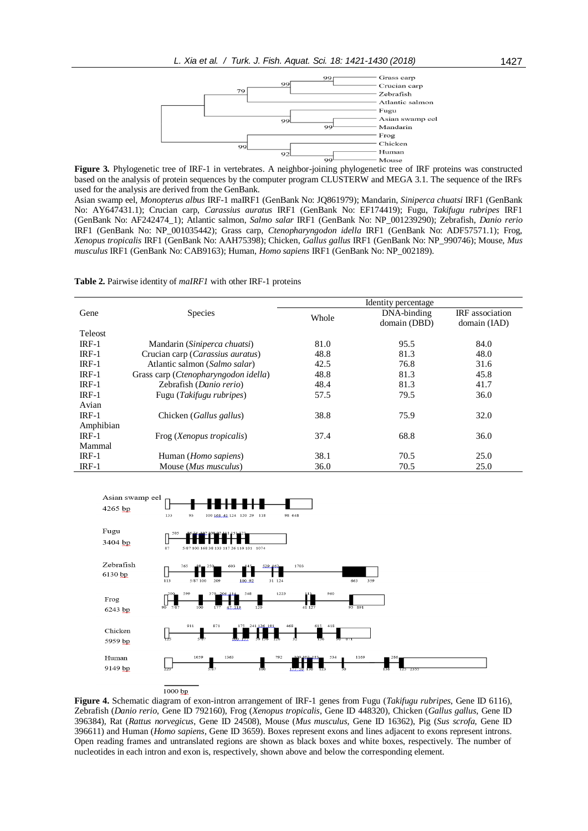

**Figure 3.** Phylogenetic tree of IRF-1 in vertebrates. A neighbor-joining phylogenetic tree of IRF proteins was constructed based on the analysis of protein sequences by the computer program CLUSTERW and MEGA 3.1. The sequence of the IRFs used for the analysis are derived from the GenBank.

Asian swamp eel, *Monopterus albus* IRF-1 maIRF1 (GenBank No: JQ861979); Mandarin, *Siniperca chuatsi* IRF1 (GenBank No: AY647431.1); Crucian carp, *Carassius auratus* IRF1 (GenBank No: EF174419); Fugu, *Takifugu rubripes* IRF1 (GenBank No: AF242474\_1); Atlantic salmon, *Salmo salar* IRF1 (GenBank No: NP\_001239290); Zebrafish, *Danio rerio* IRF1 (GenBank No: NP\_001035442); Grass carp, *Ctenopharyngodon idella* IRF1 (GenBank No: ADF57571.1); Frog, *Xenopus tropicalis* IRF1 (GenBank No: AAH75398); Chicken, *Gallus gallus* IRF1 (GenBank No: NP\_990746); Mouse, *Mus musculus* IRF1 (GenBank No: CAB9163); Human, *Homo sapiens* IRF1 (GenBank No: NP\_002189).

**Table 2.** Pairwise identity of *maIRF1* with other IRF-1 proteins

|                |                                      | Identity percentage |              |                        |  |
|----------------|--------------------------------------|---------------------|--------------|------------------------|--|
| Gene           | <b>Species</b>                       | Whole               | DNA-binding  | <b>IRF</b> association |  |
|                |                                      |                     | domain (DBD) | domain (IAD)           |  |
| <b>Teleost</b> |                                      |                     |              |                        |  |
| $IRF-1$        | Mandarin (Siniperca chuatsi)         | 81.0                | 95.5         | 84.0                   |  |
| $IRF-1$        | Crucian carp (Carassius auratus)     | 48.8                | 81.3         | 48.0                   |  |
| $IRF-1$        | Atlantic salmon (Salmo salar)        | 42.5                | 76.8         | 31.6                   |  |
| $IRF-1$        | Grass carp (Ctenopharyngodon idella) | 48.8                | 81.3         | 45.8                   |  |
| $IRF-1$        | Zebrafish (Danio rerio)              | 48.4                | 81.3         | 41.7                   |  |
| $IRF-1$        | Fugu (Takifugu rubripes)             | 57.5                | 79.5         | 36.0                   |  |
| Avian          |                                      |                     |              |                        |  |
| $IRF-1$        | Chicken (Gallus gallus)              | 38.8                | 75.9         | 32.0                   |  |
| Amphibian      |                                      |                     |              |                        |  |
| $IRF-1$        | Frog (Xenopus tropicalis)            | 37.4                | 68.8         | 36.0                   |  |
| Mammal         |                                      |                     |              |                        |  |
| $IRF-1$        | Human (Homo sapiens)                 | 38.1                | 70.5         | 25.0                   |  |
| $IRF-1$        | Mouse (Mus musculus)                 | 36.0                | 70.5         | 25.0                   |  |



**Figure 4.** Schematic diagram of exon-intron arrangement of IRF-1 genes from Fugu (*Takifugu rubripes*, Gene ID 6116), Zebrafish (*Danio rerio*, Gene ID 792160), Frog (*Xenopus tropicalis*, Gene ID 448320), Chicken (*Gallus gallus*, Gene ID 396384), Rat (*Rattus norvegicus*, Gene ID 24508), Mouse (*Mus musculus*, Gene ID 16362), Pig (*Sus scrofa,* Gene ID 396611) and Human (*Homo sapiens*, Gene ID 3659). Boxes represent exons and lines adjacent to exons represent introns. Open reading frames and untranslated regions are shown as black boxes and white boxes, respectively. The number of nucleotides in each intron and exon is, respectively, shown above and below the corresponding element.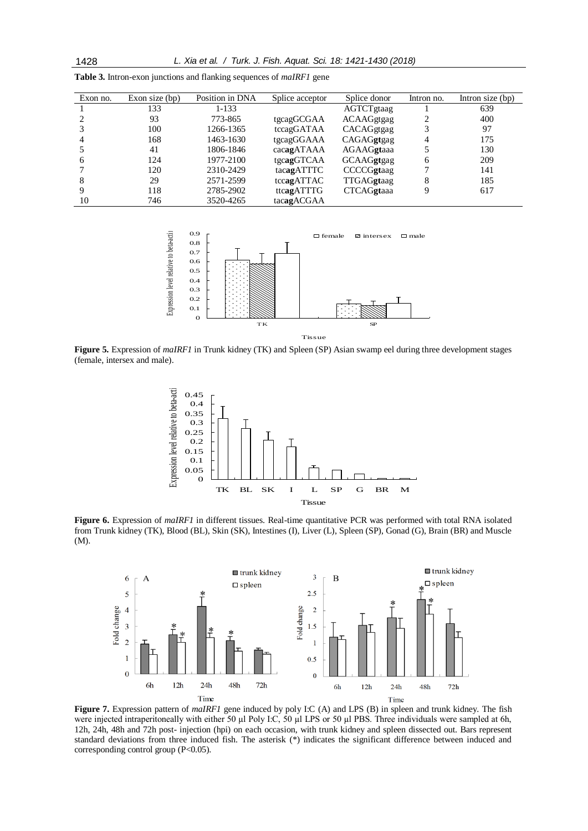| Exon no.       | Exon size $(bp)$ | Position in DNA | Splice acceptor | Splice donor      | Intron no. | Intron size $(bp)$ |
|----------------|------------------|-----------------|-----------------|-------------------|------------|--------------------|
|                | 133              | 1-133           |                 | AGTCTgtaag        |            | 639                |
|                | 93               | 773-865         | tgcagGCGAA      | <b>ACAAGgtgag</b> |            | 400                |
|                | 100              | 1266-1365       | tccagGATAA      | CACAGgtgag        |            | 97                 |
| $\overline{4}$ | 168              | 1463-1630       | tgcagGGAAA      | CAGAGgtgag        |            | 175                |
|                | 41               | 1806-1846       | cacagATAAA      | AGAAGgtaaa        |            | 130                |
| 6              | 124              | 1977-2100       | tgcagGTCAA      | GCAAGgtgag        | 6          | 209                |
|                | 120              | 2310-2429       | tacagATTTC      | CCCCGgtaag        |            | 141                |
| 8              | 29               | 2571-2599       | tccagATTAC      | TTGAGgtaag        | 8          | 185                |
| 9              | 118              | 2785-2902       | ttcagATTTG      | <b>CTCAGgtaaa</b> |            | 617                |
| 10             | 746              | 3520-4265       | tacagACGAA      |                   |            |                    |

**Table 3.** Intron-exon junctions and flanking sequences of *maIRF1* gene



**Figure 5.** Expression of *maIRF1* in Trunk kidney (TK) and Spleen (SP) Asian swamp eel during three development stages (female, intersex and male).



**Figure 6.** Expression of *maIRF1* in different tissues. Real-time quantitative PCR was performed with total RNA isolated from Trunk kidney (TK), Blood (BL), Skin (SK), Intestines (I), Liver (L), Spleen (SP), Gonad (G), Brain (BR) and Muscle (M).



**Figure 7.** Expression pattern of *maIRF1* gene induced by poly I:C (A) and LPS (B) in spleen and trunk kidney. The fish were injected intraperitoneally with either 50 µl Poly I:C, 50 µl LPS or 50 µl PBS. Three individuals were sampled at 6h, 12h, 24h, 48h and 72h post- injection (hpi) on each occasion, with trunk kidney and spleen dissected out. Bars represent standard deviations from three induced fish. The asterisk (\*) indicates the significant difference between induced and corresponding control group (P<0.05).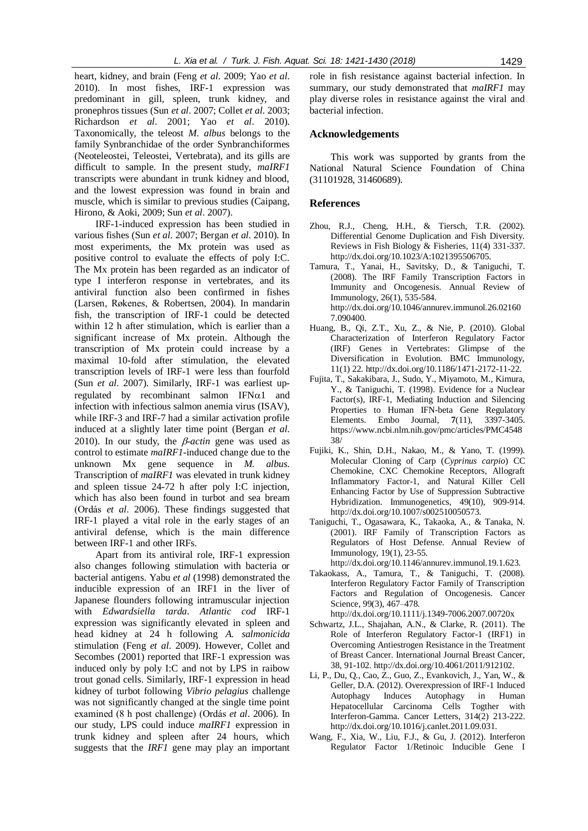heart, kidney, and brain (Feng *et al*. 2009; Yao *et al*. 2010). In most fishes, IRF-1 expression was predominant in gill, spleen, trunk kidney, and pronephros tissues (Sun *et al*. 2007; Collet *et al*. 2003; Richardson *et al*. 2001; Yao *et al*. 2010). Taxonomically, the teleost *M. albus* belongs to the family Synbranchidae of the order Synbranchiformes (Neoteleostei, Teleostei, Vertebrata), and its gills are difficult to sample. In the present study, *maIRF1* transcripts were abundant in trunk kidney and blood, and the lowest expression was found in brain and muscle, which is similar to previous studies (Caipang, Hirono, & Aoki, 2009; Sun *et al*. 2007).

IRF-1-induced expression has been studied in various fishes (Sun *et al*. 2007; Bergan *et al*. 2010). In most experiments, the Mx protein was used as positive control to evaluate the effects of poly I:C. The Mx protein has been regarded as an indicator of type I interferon response in vertebrates, and its antiviral function also been confirmed in fishes (Larsen, Røkenes, & Robertsen, 2004). In mandarin fish, the transcription of IRF-1 could be detected within 12 h after stimulation, which is earlier than a significant increase of Mx protein. Although the transcription of Mx protein could increase by a maximal 10-fold after stimulation, the elevated transcription levels of IRF-1 were less than fourfold (Sun *et al*. 2007). Similarly, IRF-1 was earliest upregulated by recombinant salmon  $IFN\alpha1$  and infection with infectious salmon anemia virus (ISAV), while IRF-3 and IRF-7 had a similar activation profile induced at a slightly later time point (Bergan *et al*. 2010). In our study, the  $\beta$ -actin gene was used as control to estimate *maIRF1*-induced change due to the unknown Mx gene sequence in *M. albus*. Transcription of *maIRF1* was elevated in trunk kidney and spleen tissue 24-72 h after poly I:C injection, which has also been found in turbot and sea bream (Ordás *et al*. 2006). These findings suggested that IRF-1 played a vital role in the early stages of an antiviral defense, which is the main difference between IRF-1 and other IRFs.

Apart from its antiviral role, IRF-1 expression also changes following stimulation with bacteria or bacterial antigens. Yabu *et al* (1998) demonstrated the inducible expression of an IRF1 in the liver of Japanese flounders following intramuscular injection with *Edwardsiella tarda*. *Atlantic cod* IRF-1 expression was significantly elevated in spleen and head kidney at 24 h following *A. salmonicida* stimulation (Feng *et al*. 2009). However, Collet and Secombes (2001) reported that IRF-1 expression was induced only by poly I:C and not by LPS in raibow trout gonad cells. Similarly, IRF-1 expression in head kidney of turbot following *Vibrio pelagius* challenge was not significantly changed at the single time point examined (8 h post challenge) (Ordás *et al*. 2006). In our study, LPS could induce *maIRF1* expression in trunk kidney and spleen after 24 hours, which suggests that the *IRF1* gene may play an important role in fish resistance against bacterial infection. In summary, our study demonstrated that *maIRF1* may play diverse roles in resistance against the viral and bacterial infection.

#### **Acknowledgements**

This work was supported by grants from the National Natural Science Foundation of China (31101928, 31460689).

#### **References**

- Zhou, R.J., Cheng, H.H., & Tiersch, T.R. (2002). Differential Genome Duplication and Fish Diversity. Reviews in Fish Biology & Fisheries, 11(4) 331-337. http://dx.doi.org/10.1023/A:1021395506705.
- Tamura, T., Yanai, H., Savitsky, D., & Taniguchi, T. (2008). The IRF Family Transcription Factors in Immunity and Oncogenesis. Annual Review of Immunology, 26(1), 535-584. http://dx.doi.org/10.1046/annurev.immunol.26.02160 7.090400.
- Huang, B., Qi, Z.T., Xu, Z., & Nie, P. (2010). Global Characterization of Interferon Regulatory Factor (IRF) Genes in Vertebrates: Glimpse of the Diversification in Evolution. BMC Immunology, 11(1) 22. http://dx.doi.org/10.1186/1471-2172-11-22.
- Fujita, T., Sakakibara, J., Sudo, Y., Miyamoto, M., Kimura, Y., & Taniguchi, T. (1998). Evidence for a Nuclear Factor(s), IRF-1, Mediating Induction and Silencing Properties to Human IFN-beta Gene Regulatory Elements. Embo Journal, **7**(11), 3397-3405. https://www.ncbi.nlm.nih.gov/pmc/articles/PMC4548 38/
- Fujiki, K., Shin, D.H., Nakao, M., & Yano, T. (1999). Molecular Cloning of Carp (*Cyprinus carpio*) CC Chemokine, CXC Chemokine Receptors, Allograft Inflammatory Factor-1, and Natural Killer Cell Enhancing Factor by Use of Suppression Subtractive Hybridization. Immunogenetics, 49(10), 909-914. http://dx.doi.org/10.1007/s002510050573.
- Taniguchi, T., Ogasawara, K., Takaoka, A., & Tanaka, N. (2001). IRF Family of Transcription Factors as Regulators of Host Defense. Annual Review of Immunology, 19(1), 23-55.

http://dx.doi.org/10.1146/annurev.immunol.19.1.623.

- Takaokass, A., Tamura, T., & Taniguchi, T. (2008). Interferon Regulatory Factor Family of Transcription Factors and Regulation of Oncogenesis. Cancer Science, 99(3), 467–478. http://dx.doi.org/10.1111/j.1349-7006.2007.00720x
- Schwartz, J.L., Shajahan, A.N., & Clarke, R. (2011). The Role of Interferon Regulatory Factor-1 (IRF1) in Overcoming Antiestrogen Resistance in the Treatment of Breast Cancer. International Journal Breast Cancer, 38, 91-102. http://dx.doi.org/10.4061/2011/912102.
- Li, P., Du, Q., Cao, Z., Guo, Z., Evankovich, J., Yan, W., & Geller, D.A. (2012). Overexpression of IRF-1 Induced Autophagy Induces Autophagy in Human Hepatocellular Carcinoma Cells Togther with Interferon-Gamma. Cancer Letters, 314(2) 213-222. [http://dx.doi.org/10.1016/j.canlet.2011.09.031.](https://doi.org/10.1016/j.canlet.2011.09.031)
- Wang, F., Xia, W., Liu, F.J., & Gu, J. (2012). Interferon Regulator Factor 1/Retinoic Inducible Gene I